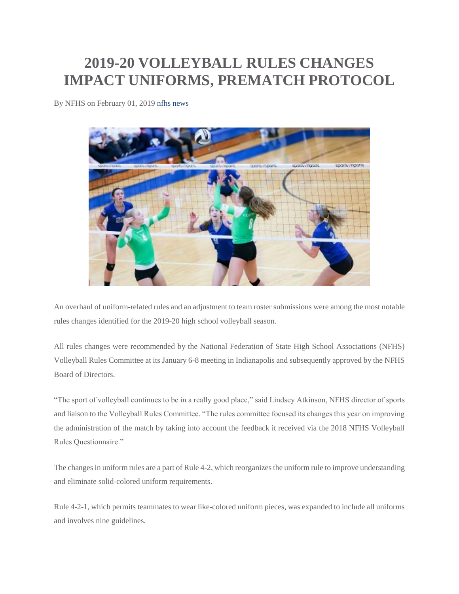## **2019-20 VOLLEYBALL RULES CHANGES IMPACT UNIFORMS, PREMATCH PROTOCOL**

By NFHS on February 01, 2019 [nfhs news](http://www.nfhs.org/articles/2019-20-volleyball-rules-changes-impact-uniforms-prematch-protocol/)



An overhaul of uniform-related rules and an adjustment to team roster submissions were among the most notable rules changes identified for the 2019-20 high school volleyball season.

All rules changes were recommended by the National Federation of State High School Associations (NFHS) Volleyball Rules Committee at its January 6-8 meeting in Indianapolis and subsequently approved by the NFHS Board of Directors.

"The sport of volleyball continues to be in a really good place," said Lindsey Atkinson, NFHS director of sports and liaison to the Volleyball Rules Committee. "The rules committee focused its changes this year on improving the administration of the match by taking into account the feedback it received via the 2018 NFHS Volleyball Rules Questionnaire."

The changes in uniform rules are a part of Rule 4-2, which reorganizes the uniform rule to improve understanding and eliminate solid-colored uniform requirements.

Rule 4-2-1, which permits teammates to wear like-colored uniform pieces, was expanded to include all uniforms and involves nine guidelines.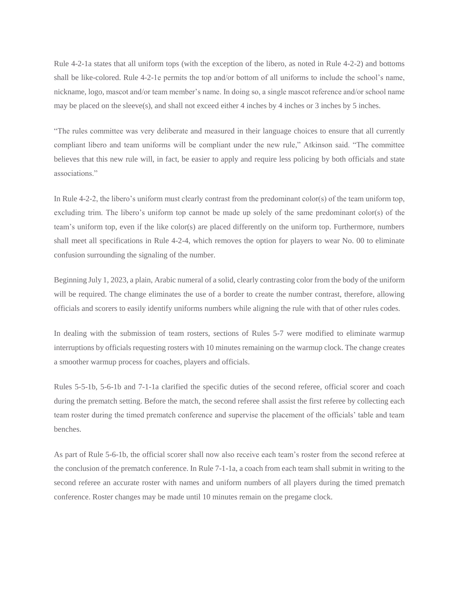Rule 4-2-1a states that all uniform tops (with the exception of the libero, as noted in Rule 4-2-2) and bottoms shall be like-colored. Rule 4-2-1e permits the top and/or bottom of all uniforms to include the school's name, nickname, logo, mascot and/or team member's name. In doing so, a single mascot reference and/or school name may be placed on the sleeve(s), and shall not exceed either 4 inches by 4 inches or 3 inches by 5 inches.

"The rules committee was very deliberate and measured in their language choices to ensure that all currently compliant libero and team uniforms will be compliant under the new rule," Atkinson said. "The committee believes that this new rule will, in fact, be easier to apply and require less policing by both officials and state associations."

In Rule 4-2-2, the libero's uniform must clearly contrast from the predominant color(s) of the team uniform top, excluding trim. The libero's uniform top cannot be made up solely of the same predominant color(s) of the team's uniform top, even if the like color(s) are placed differently on the uniform top. Furthermore, numbers shall meet all specifications in Rule 4-2-4, which removes the option for players to wear No. 00 to eliminate confusion surrounding the signaling of the number.

Beginning July 1, 2023, a plain, Arabic numeral of a solid, clearly contrasting color from the body of the uniform will be required. The change eliminates the use of a border to create the number contrast, therefore, allowing officials and scorers to easily identify uniforms numbers while aligning the rule with that of other rules codes.

In dealing with the submission of team rosters, sections of Rules 5-7 were modified to eliminate warmup interruptions by officials requesting rosters with 10 minutes remaining on the warmup clock. The change creates a smoother warmup process for coaches, players and officials.

Rules 5-5-1b, 5-6-1b and 7-1-1a clarified the specific duties of the second referee, official scorer and coach during the prematch setting. Before the match, the second referee shall assist the first referee by collecting each team roster during the timed prematch conference and supervise the placement of the officials' table and team benches.

As part of Rule 5-6-1b, the official scorer shall now also receive each team's roster from the second referee at the conclusion of the prematch conference. In Rule 7-1-1a, a coach from each team shall submit in writing to the second referee an accurate roster with names and uniform numbers of all players during the timed prematch conference. Roster changes may be made until 10 minutes remain on the pregame clock.